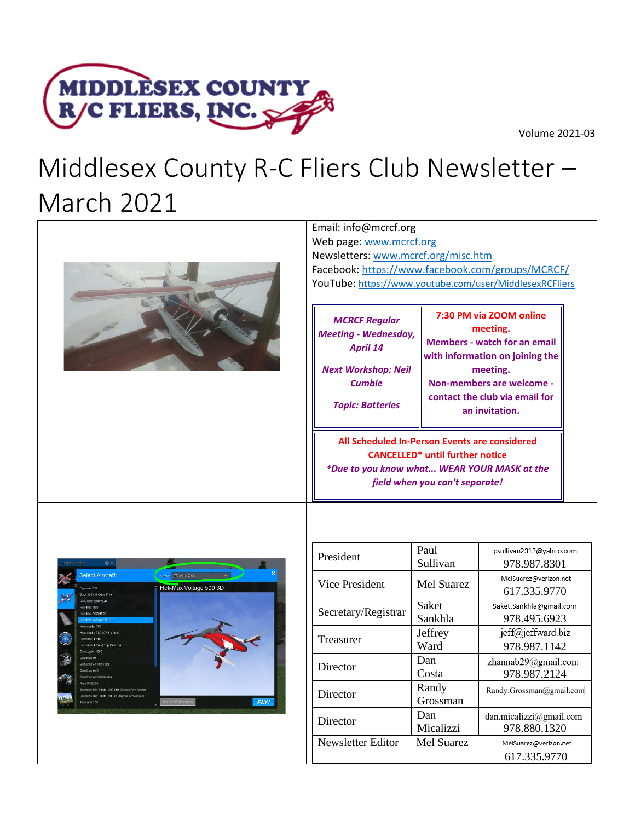



# Middlesex County R-C Fliers Club Newsletter – March 2021



| Web page: www.mcrcf.org<br>Newsletters: www.mcrcf.org/misc.htm                                                                                   | Facebook: https://www.facebook.com/groups/MCRCF/<br>YouTube: https://www.youtube.com/user/MiddlesexRCFliers                                                                                                |
|--------------------------------------------------------------------------------------------------------------------------------------------------|------------------------------------------------------------------------------------------------------------------------------------------------------------------------------------------------------------|
| <b>MCRCF Regular</b><br><b>Meeting - Wednesday,</b><br><b>April 14</b><br><b>Next Workshop: Neil</b><br><b>Cumbie</b><br><b>Topic: Batteries</b> | 7:30 PM via ZOOM online<br>meeting.<br><b>Members - watch for an email</b><br>with information on joining the<br>meeting.<br>Non-members are welcome -<br>contact the club via email for<br>an invitation. |
|                                                                                                                                                  | All Scheduled In-Person Events are considered<br><b>CANCELLED*</b> until further notice<br>*Due to you know what WEAR YOUR MASK at the<br>field when you can't separate!                                   |



| President           | Paul              | psullivan2313@yahoo.com  |
|---------------------|-------------------|--------------------------|
|                     | Sullivan          | 978.987.8301             |
| Vice President      | <b>Mel Suarez</b> | MelSuarez@verizon.net    |
|                     |                   | 617.335.9770             |
| Secretary/Registrar | Saket             | Saket.Sankhla@gmail.com  |
|                     | Sankhla           | 978.495.6923             |
| Treasurer           | Jeffrey           | jeff@jeffward.biz        |
|                     | Ward              | 978.987.1142             |
| Director            | Dan               | zhannab29@gmail.com      |
|                     | Costa             | 978.987.2124             |
| Director            | Randy             | Randy.Grossman@gmail.com |
|                     | Grossman          |                          |
| Director            | Dan               | dan.micalizzi@gmail.com  |
|                     | Micalizzi         | 978.880.1320             |
| Newsletter Editor   | Mel Suarez        | MelSuarez@verizon.net    |
|                     |                   | 617.335.9770             |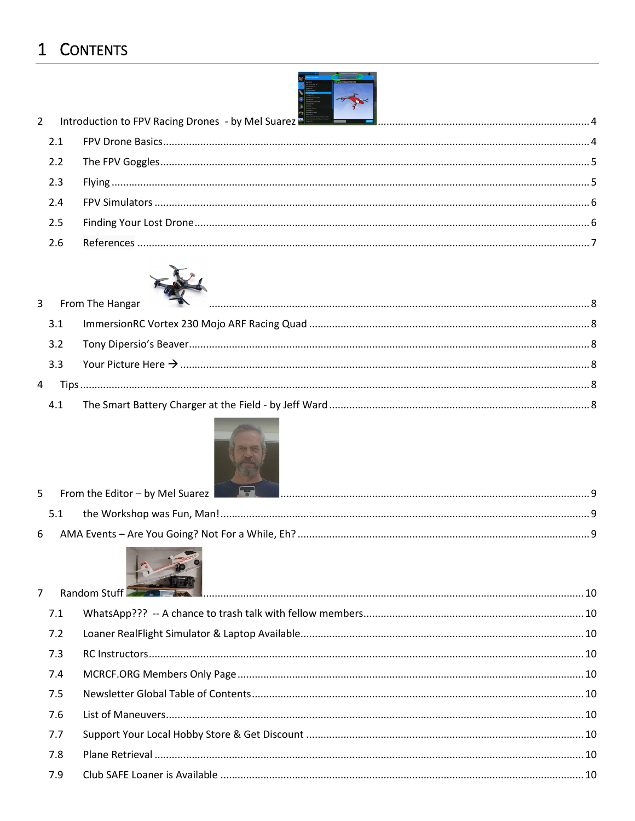## 1 CONTENTS

| $2^{\circ}$ |     | Introduction to FPV Racing Drones - by Mel Suarez <b>Production of the Contract of Contract Production</b> to FPV Racing Drones - by Mel Suarez Production and Content of Tensor 2014. |  |
|-------------|-----|----------------------------------------------------------------------------------------------------------------------------------------------------------------------------------------|--|
|             |     |                                                                                                                                                                                        |  |
|             | 2.2 |                                                                                                                                                                                        |  |
|             | 2.3 |                                                                                                                                                                                        |  |
|             | 2.4 |                                                                                                                                                                                        |  |
|             | 2.5 |                                                                                                                                                                                        |  |
|             | 2.6 |                                                                                                                                                                                        |  |
|             |     |                                                                                                                                                                                        |  |

e de la companya de la companya de la companya de la companya de la companya de la companya de la companya de<br>La companya de la companya de la companya de la companya de la companya de la companya de la companya de la co<br>L



|     | 3 From The Hangar <b>Example 20</b> From The Hangar 8 |  |
|-----|-------------------------------------------------------|--|
| 3.1 |                                                       |  |
|     |                                                       |  |
|     |                                                       |  |
|     |                                                       |  |
| 4.1 |                                                       |  |



|  | 5 From the Editor – by Mel Suarez <b>Production and Construction</b> Construction and the Editor – by Mel Suarez |  |
|--|------------------------------------------------------------------------------------------------------------------|--|
|  |                                                                                                                  |  |
|  |                                                                                                                  |  |



|     | 7 Random Stuff <b>2008 Research Manual Manual Constitution</b> 10 |  |
|-----|-------------------------------------------------------------------|--|
| 7.1 |                                                                   |  |
| 7.2 |                                                                   |  |
| 7.3 |                                                                   |  |
| 7.4 |                                                                   |  |
| 7.5 |                                                                   |  |
| 7.6 |                                                                   |  |
| 7.7 |                                                                   |  |
| 7.8 |                                                                   |  |
| 7.9 |                                                                   |  |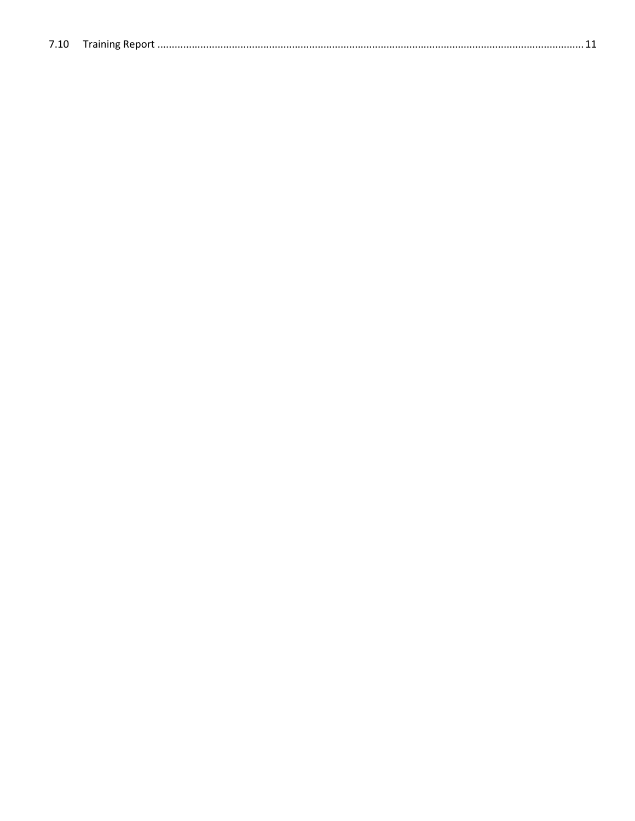| 7.10 |  |
|------|--|
|      |  |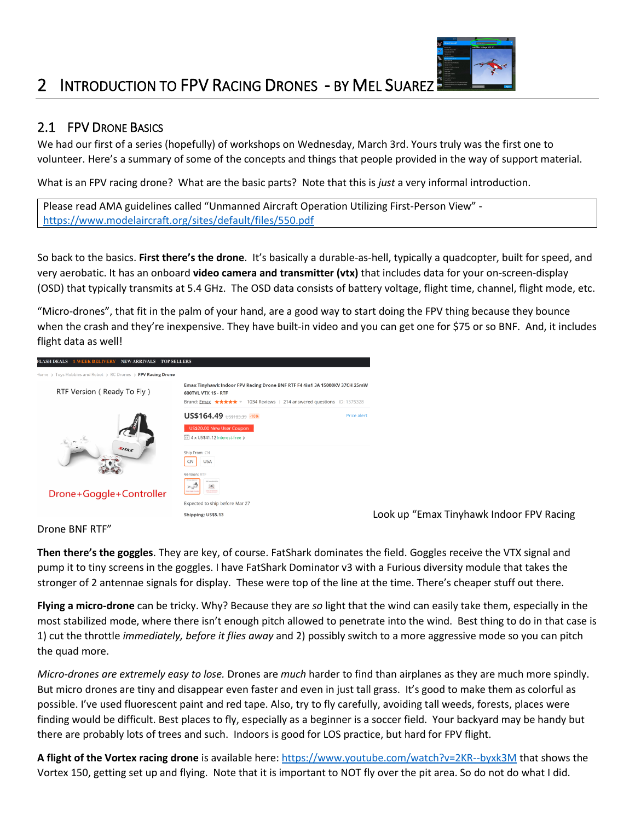### <span id="page-3-0"></span>2 INTRODUCTION TO FPV RACING DRONES - BY MEL SUAREZ

#### <span id="page-3-1"></span>2.1 FPV DRONE BASICS

We had our first of a series (hopefully) of workshops on Wednesday, March 3rd. Yours truly was the first one to volunteer. Here's a summary of some of the concepts and things that people provided in the way of support material.

What is an FPV racing drone? What are the basic parts? Note that this is *just* a very informal introduction.

Please read AMA guidelines called "Unmanned Aircraft Operation Utilizing First-Person View" <https://www.modelaircraft.org/sites/default/files/550.pdf>

So back to the basics. **First there's the drone**. It's basically a durable-as-hell, typically a quadcopter, built for speed, and very aerobatic. It has an onboard **video camera and transmitter (vtx)** that includes data for your on-screen-display (OSD) that typically transmits at 5.4 GHz. The OSD data consists of battery voltage, flight time, channel, flight mode, etc.

"Micro-drones", that fit in the palm of your hand, are a good way to start doing the FPV thing because they bounce when the crash and they're inexpensive. They have built-in video and you can get one for \$75 or so BNF. And, it includes flight data as well!



Look up "Emax Tinyhawk Indoor FPV Racing

#### Drone BNF RTF"

**Then there's the goggles**. They are key, of course. FatShark dominates the field. Goggles receive the VTX signal and pump it to tiny screens in the goggles. I have FatShark Dominator v3 with a Furious diversity module that takes the stronger of 2 antennae signals for display. These were top of the line at the time. There's cheaper stuff out there.

**Flying a micro-drone** can be tricky. Why? Because they are *so* light that the wind can easily take them, especially in the most stabilized mode, where there isn't enough pitch allowed to penetrate into the wind. Best thing to do in that case is 1) cut the throttle *immediately, before it flies away* and 2) possibly switch to a more aggressive mode so you can pitch the quad more.

*Micro-drones are extremely easy to lose.* Drones are *much* harder to find than airplanes as they are much more spindly. But micro drones are tiny and disappear even faster and even in just tall grass. It's good to make them as colorful as possible. I've used fluorescent paint and red tape. Also, try to fly carefully, avoiding tall weeds, forests, places were finding would be difficult. Best places to fly, especially as a beginner is a soccer field. Your backyard may be handy but there are probably lots of trees and such. Indoors is good for LOS practice, but hard for FPV flight.

**A flight of the Vortex racing drone** is available here[: https://www.youtube.com/watch?v=2KR--byxk3M](https://www.youtube.com/watch?v=2KR--byxk3M) that shows the Vortex 150, getting set up and flying. Note that it is important to NOT fly over the pit area. So do not do what I did.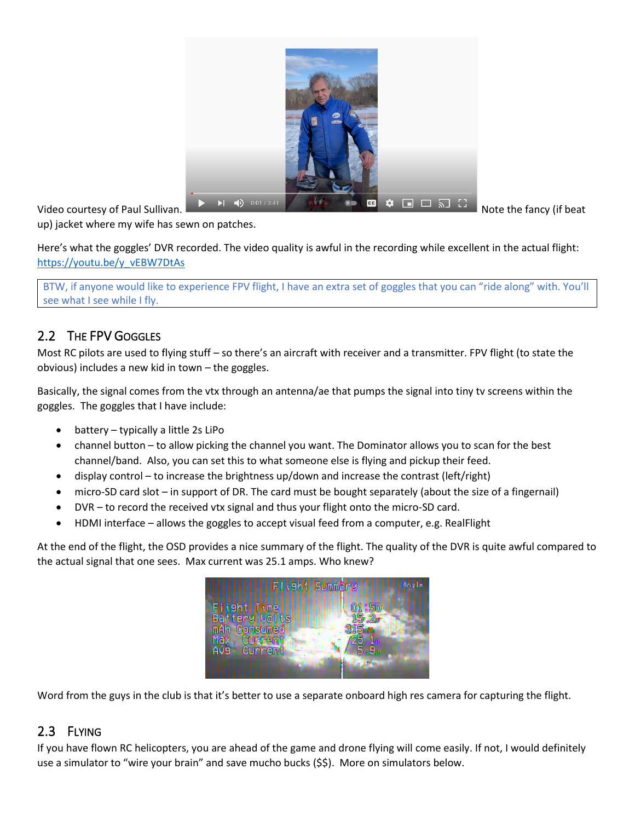

up) jacket where my wife has sewn on patches.

Here's what the goggles' DVR recorded. The video quality is awful in the recording while excellent in the actual flight: [https://youtu.be/y\\_vEBW7DtAs](https://youtu.be/y_vEBW7DtAs)

BTW, if anyone would like to experience FPV flight, I have an extra set of goggles that you can "ride along" with. You'll see what I see while I fly.

### <span id="page-4-0"></span>2.2 THE FPV GOGGLES

Most RC pilots are used to flying stuff – so there's an aircraft with receiver and a transmitter. FPV flight (to state the obvious) includes a new kid in town – the goggles.

Basically, the signal comes from the vtx through an antenna/ae that pumps the signal into tiny tv screens within the goggles. The goggles that I have include:

- battery typically a little 2s LiPo
- channel button to allow picking the channel you want. The Dominator allows you to scan for the best channel/band. Also, you can set this to what someone else is flying and pickup their feed.
- display control to increase the brightness up/down and increase the contrast (left/right)
- micro-SD card slot in support of DR. The card must be bought separately (about the size of a fingernail)
- DVR to record the received vtx signal and thus your flight onto the micro-SD card.
- HDMI interface allows the goggles to accept visual feed from a computer, e.g. RealFlight

At the end of the flight, the OSD provides a nice summary of the flight. The quality of the DVR is quite awful compared to the actual signal that one sees. Max current was 25.1 amps. Who knew?



Word from the guys in the club is that it's better to use a separate onboard high res camera for capturing the flight.

#### <span id="page-4-1"></span>2.3 FLYING

If you have flown RC helicopters, you are ahead of the game and drone flying will come easily. If not, I would definitely use a simulator to "wire your brain" and save mucho bucks (\$\$). More on simulators below.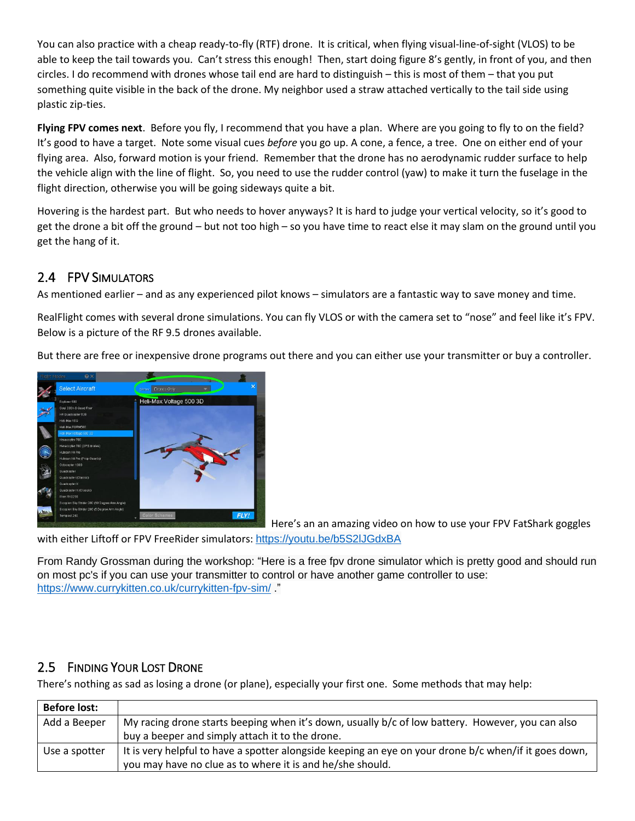You can also practice with a cheap ready-to-fly (RTF) drone. It is critical, when flying visual-line-of-sight (VLOS) to be able to keep the tail towards you. Can't stress this enough! Then, start doing figure 8's gently, in front of you, and then circles. I do recommend with drones whose tail end are hard to distinguish – this is most of them – that you put something quite visible in the back of the drone. My neighbor used a straw attached vertically to the tail side using plastic zip-ties.

**Flying FPV comes next**. Before you fly, I recommend that you have a plan. Where are you going to fly to on the field? It's good to have a target. Note some visual cues *before* you go up. A cone, a fence, a tree. One on either end of your flying area. Also, forward motion is your friend. Remember that the drone has no aerodynamic rudder surface to help the vehicle align with the line of flight. So, you need to use the rudder control (yaw) to make it turn the fuselage in the flight direction, otherwise you will be going sideways quite a bit.

Hovering is the hardest part. But who needs to hover anyways? It is hard to judge your vertical velocity, so it's good to get the drone a bit off the ground – but not too high – so you have time to react else it may slam on the ground until you get the hang of it.

#### <span id="page-5-0"></span>2.4 FPV SIMULATORS

As mentioned earlier – and as any experienced pilot knows – simulators are a fantastic way to save money and time.

RealFlight comes with several drone simulations. You can fly VLOS or with the camera set to "nose" and feel like it's FPV. Below is a picture of the RF 9.5 drones available.

But there are free or inexpensive drone programs out there and you can either use your transmitter or buy a controller.



Here's an an amazing video on how to use your FPV FatShark goggles

with either Liftoff or FPV FreeRider simulators: <https://youtu.be/b5S2lJGdxBA>

From Randy Grossman during the workshop: "Here is a free fpv drone simulator which is pretty good and should run on most pc's if you can use your transmitter to control or have another game controller to use: <https://www.currykitten.co.uk/currykitten-fpv-sim/> "

#### <span id="page-5-1"></span>2.5 FINDING YOUR LOST DRONE

There's nothing as sad as losing a drone (or plane), especially your first one. Some methods that may help:

| <b>Before lost:</b> |                                                                                                                                                                    |
|---------------------|--------------------------------------------------------------------------------------------------------------------------------------------------------------------|
| Add a Beeper        | My racing drone starts beeping when it's down, usually b/c of low battery. However, you can also                                                                   |
|                     | buy a beeper and simply attach it to the drone.                                                                                                                    |
| Use a spotter       | It is very helpful to have a spotter alongside keeping an eye on your drone b/c when/if it goes down,<br>you may have no clue as to where it is and he/she should. |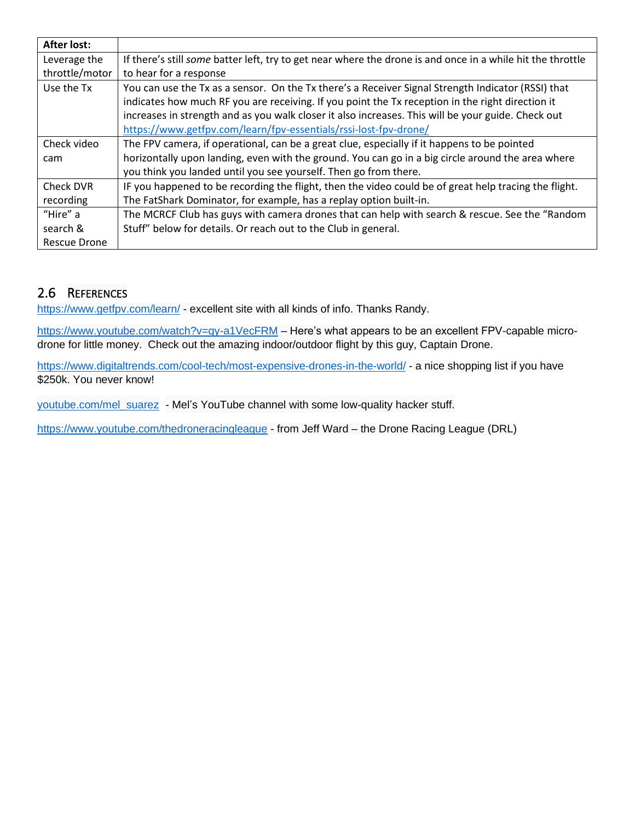| <b>After lost:</b> |                                                                                                            |
|--------------------|------------------------------------------------------------------------------------------------------------|
| Leverage the       | If there's still some batter left, try to get near where the drone is and once in a while hit the throttle |
| throttle/motor     | to hear for a response                                                                                     |
| Use the Tx         | You can use the Tx as a sensor. On the Tx there's a Receiver Signal Strength Indicator (RSSI) that         |
|                    | indicates how much RF you are receiving. If you point the Tx reception in the right direction it           |
|                    | increases in strength and as you walk closer it also increases. This will be your guide. Check out         |
|                    | https://www.getfpv.com/learn/fpv-essentials/rssi-lost-fpv-drone/                                           |
| Check video        | The FPV camera, if operational, can be a great clue, especially if it happens to be pointed                |
| cam                | horizontally upon landing, even with the ground. You can go in a big circle around the area where          |
|                    | you think you landed until you see yourself. Then go from there.                                           |
| Check DVR          | IF you happened to be recording the flight, then the video could be of great help tracing the flight.      |
| recording          | The FatShark Dominator, for example, has a replay option built-in.                                         |
| "Hire" a           | The MCRCF Club has guys with camera drones that can help with search & rescue. See the "Random             |
| search &           | Stuff" below for details. Or reach out to the Club in general.                                             |
| Rescue Drone       |                                                                                                            |

#### <span id="page-6-0"></span>2.6 REFERENCES

<https://www.getfpv.com/learn/> - excellent site with all kinds of info. Thanks Randy.

<https://www.youtube.com/watch?v=qy-a1VecFRM> – Here's what appears to be an excellent FPV-capable microdrone for little money. Check out the amazing indoor/outdoor flight by this guy, Captain Drone.

<https://www.digitaltrends.com/cool-tech/most-expensive-drones-in-the-world/> - a nice shopping list if you have \$250k. You never know!

[youtube.com/mel\\_suarez](http://youtube.com/mel_suarez) - Mel's YouTube channel with some low-quality hacker stuff.

<https://www.youtube.com/thedroneracingleague> - from Jeff Ward – the Drone Racing League (DRL)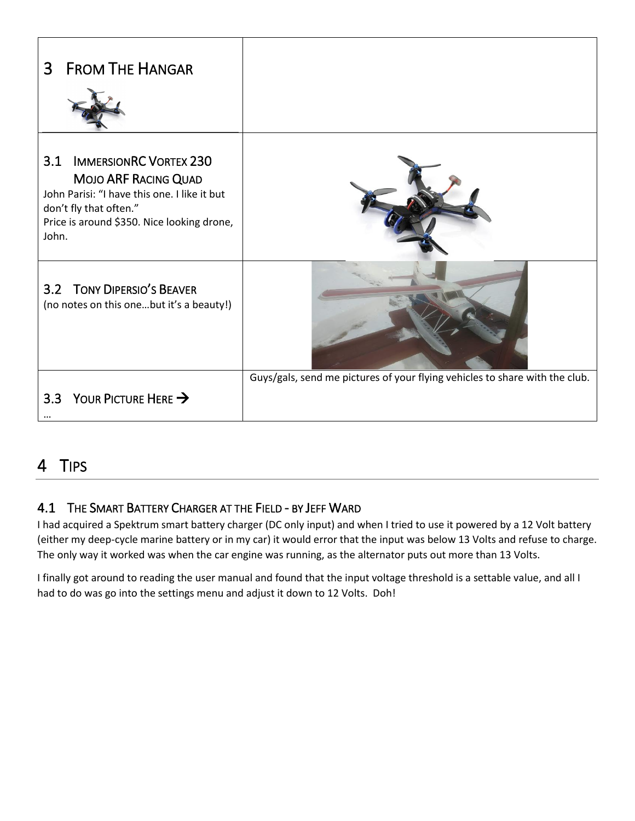<span id="page-7-1"></span><span id="page-7-0"></span>

| <b>FROM THE HANGAR</b><br>3                                                                                                                                                                   |                                                                             |
|-----------------------------------------------------------------------------------------------------------------------------------------------------------------------------------------------|-----------------------------------------------------------------------------|
| <b>IMMERSIONRC VORTEX 230</b><br>3.1<br>MOJO ARF RACING QUAD<br>John Parisi: "I have this one. I like it but<br>don't fly that often."<br>Price is around \$350. Nice looking drone,<br>John. |                                                                             |
| 3.2 TONY DIPERSIO'S BEAVER<br>(no notes on this onebut it's a beauty!)                                                                                                                        |                                                                             |
| YOUR PICTURE HERE $\rightarrow$<br>3.3                                                                                                                                                        | Guys/gals, send me pictures of your flying vehicles to share with the club. |

## <span id="page-7-4"></span><span id="page-7-3"></span><span id="page-7-2"></span>4 TIPS

#### <span id="page-7-5"></span>4.1 THE SMART BATTERY CHARGER AT THE FIELD - BY JEFF WARD

I had acquired a Spektrum smart battery charger (DC only input) and when I tried to use it powered by a 12 Volt battery (either my deep-cycle marine battery or in my car) it would error that the input was below 13 Volts and refuse to charge. The only way it worked was when the car engine was running, as the alternator puts out more than 13 Volts.

I finally got around to reading the user manual and found that the input voltage threshold is a settable value, and all I had to do was go into the settings menu and adjust it down to 12 Volts. Doh!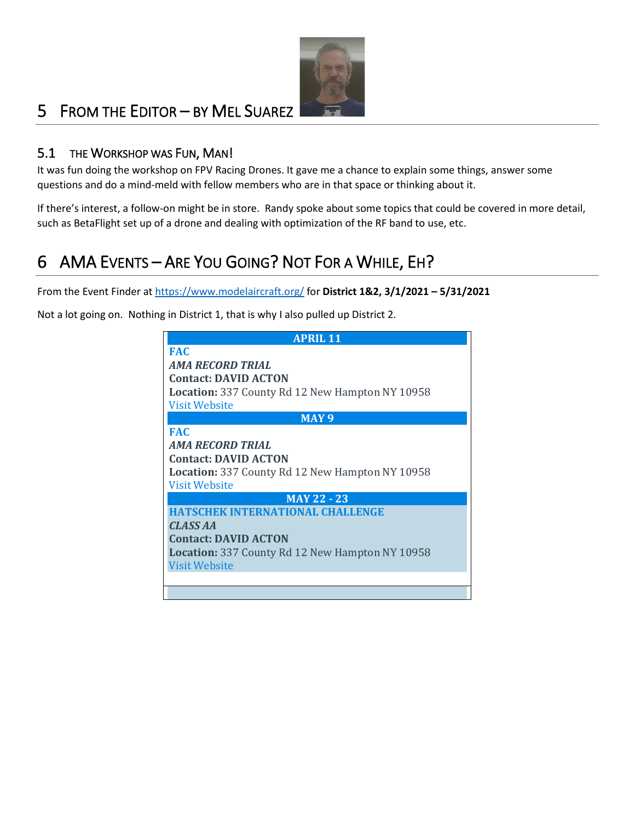

### <span id="page-8-0"></span>5 FROM THE EDITOR – BY MEL SUAREZ

#### <span id="page-8-1"></span>5.1 THE WORKSHOP WAS FUN, MAN!

It was fun doing the workshop on FPV Racing Drones. It gave me a chance to explain some things, answer some questions and do a mind-meld with fellow members who are in that space or thinking about it.

If there's interest, a follow-on might be in store. Randy spoke about some topics that could be covered in more detail, such as BetaFlight set up of a drone and dealing with optimization of the RF band to use, etc.

## <span id="page-8-2"></span>6 AMA EVENTS – ARE YOU GOING? NOT FOR A WHILE, EH?

From the Event Finder a[t https://www.modelaircraft.org/](https://www.modelaircraft.org/) for **District 1&2, 3/1/2021 – 5/31/2021**

Not a lot going on. Nothing in District 1, that is why I also pulled up District 2.

| <b>APRIL 11</b>                                        |  |  |
|--------------------------------------------------------|--|--|
| <b>FAC</b>                                             |  |  |
| AMA RECORD TRIAL                                       |  |  |
| <b>Contact: DAVID ACTON</b>                            |  |  |
| <b>Location:</b> 337 County Rd 12 New Hampton NY 10958 |  |  |
| <b>Visit Website</b>                                   |  |  |
| MAY <sub>9</sub>                                       |  |  |
| <b>FAC</b>                                             |  |  |
| <b>AMA RECORD TRIAL</b>                                |  |  |
| <b>Contact: DAVID ACTON</b>                            |  |  |
| <b>Location:</b> 337 County Rd 12 New Hampton NY 10958 |  |  |
| <b>Visit Website</b>                                   |  |  |
| <b>MAY 22 - 23</b>                                     |  |  |
| <b>HATSCHEK INTERNATIONAL CHALLENGE</b>                |  |  |
| <b>CLASS AA</b>                                        |  |  |
| <b>Contact: DAVID ACTON</b>                            |  |  |
| <b>Location:</b> 337 County Rd 12 New Hampton NY 10958 |  |  |
| <b>Visit Website</b>                                   |  |  |
|                                                        |  |  |
|                                                        |  |  |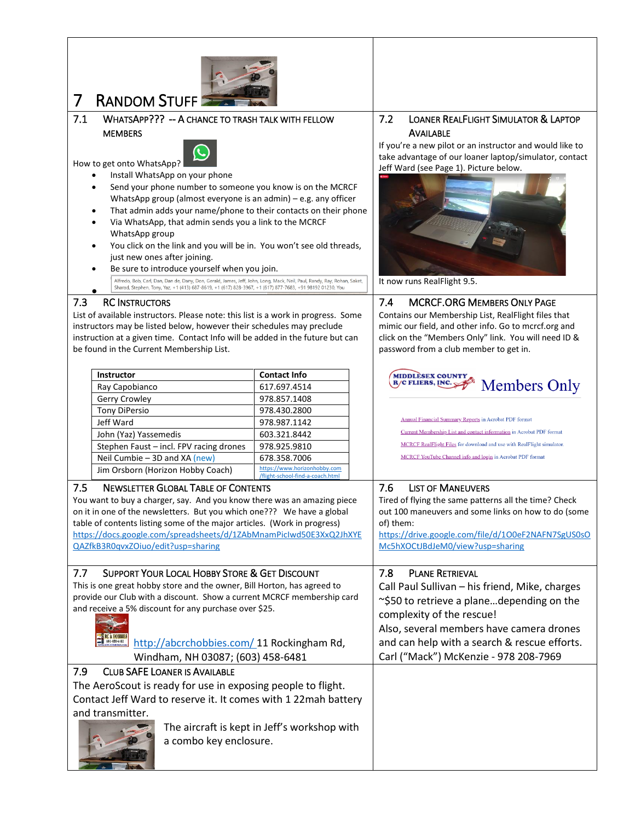<span id="page-9-9"></span><span id="page-9-8"></span><span id="page-9-7"></span><span id="page-9-6"></span><span id="page-9-5"></span><span id="page-9-4"></span><span id="page-9-3"></span><span id="page-9-2"></span><span id="page-9-1"></span><span id="page-9-0"></span>

| <b>RANDOM STUFF</b><br>7                                                                                                                                                 |                                                                  |                                                                                                              |
|--------------------------------------------------------------------------------------------------------------------------------------------------------------------------|------------------------------------------------------------------|--------------------------------------------------------------------------------------------------------------|
| WHATSAPP??? -- A CHANCE TO TRASH TALK WITH FELLOW<br>7.1                                                                                                                 |                                                                  | <b>LOANER REALFLIGHT SIMULATOR &amp; LAPTOP</b><br>7.2                                                       |
| <b>MEMBERS</b>                                                                                                                                                           |                                                                  | <b>AVAILABLE</b>                                                                                             |
|                                                                                                                                                                          |                                                                  | If you're a new pilot or an instructor and would like to                                                     |
| How to get onto WhatsApp?                                                                                                                                                |                                                                  | take advantage of our loaner laptop/simulator, contact<br>Jeff Ward (see Page 1). Picture below.             |
| Install WhatsApp on your phone                                                                                                                                           |                                                                  |                                                                                                              |
| Send your phone number to someone you know is on the MCRCF                                                                                                               |                                                                  |                                                                                                              |
| WhatsApp group (almost everyone is an admin) - e.g. any officer<br>That admin adds your name/phone to their contacts on their phone                                      |                                                                  |                                                                                                              |
| Via WhatsApp, that admin sends you a link to the MCRCF                                                                                                                   |                                                                  |                                                                                                              |
| WhatsApp group                                                                                                                                                           |                                                                  |                                                                                                              |
| You click on the link and you will be in. You won't see old threads,                                                                                                     |                                                                  |                                                                                                              |
| just new ones after joining.                                                                                                                                             |                                                                  |                                                                                                              |
| Be sure to introduce yourself when you join.<br>Alfredo, Bob, Carl, Dan, Dan de, Dany, Don, Gerald, James, Jeff, John, Long, Mack, Neil, Paul, Randy, Ray, Rohan, Saket, |                                                                  | It now runs RealFlight 9.5.                                                                                  |
| Sharad, Stephen, Tony, Yaz, +1 (413) 687-8619, +1 (617) 828-3967, +1 (617) 877-7683, +91 98192 01230, You                                                                |                                                                  |                                                                                                              |
| 7.3<br><b>RC INSTRUCTORS</b>                                                                                                                                             |                                                                  | 7.4<br><b>MCRCF.ORG MEMBERS ONLY PAGE</b>                                                                    |
| List of available instructors. Please note: this list is a work in progress. Some                                                                                        |                                                                  | Contains our Membership List, RealFlight files that                                                          |
| instructors may be listed below, however their schedules may preclude<br>instruction at a given time. Contact Info will be added in the future but can                   |                                                                  | mimic our field, and other info. Go to mcrcf.org and<br>click on the "Members Only" link. You will need ID & |
| be found in the Current Membership List.                                                                                                                                 |                                                                  | password from a club member to get in.                                                                       |
|                                                                                                                                                                          |                                                                  |                                                                                                              |
| <b>Instructor</b>                                                                                                                                                        | <b>Contact Info</b>                                              | <b>MIDDLÈSEX COUNTY</b>                                                                                      |
| Ray Capobianco                                                                                                                                                           | 617.697.4514                                                     | <b>R/C FLIERS, INC.</b><br><b>Members Only</b>                                                               |
| Gerry Crowley                                                                                                                                                            | 978.857.1408                                                     |                                                                                                              |
| <b>Tony DiPersio</b><br>Jeff Ward                                                                                                                                        | 978.430.2800<br>978.987.1142                                     | <b>Annual Financial Summary Reports in Acrobat PDF format</b>                                                |
| John (Yaz) Yassemedis                                                                                                                                                    | 603.321.8442                                                     | Current Membership List and contact information in Acrobat PDF format                                        |
| Stephen Faust - incl. FPV racing drones                                                                                                                                  | 978.925.9810                                                     | MCRCF RealFlight Files for download and use with RealFlight simulator.                                       |
| Neil Cumbie - 3D and XA (new)                                                                                                                                            | 678.358.7006                                                     | MCRCF YouTube Channel info and login in Acrobat PDF format                                                   |
| Jim Orsborn (Horizon Hobby Coach)                                                                                                                                        | https://www.horizonhobby.com<br>/flight-school-find-a-coach.html |                                                                                                              |
| <b>NEWSLETTER GLOBAL TABLE OF CONTENTS</b><br>7.5                                                                                                                        |                                                                  | 7.6<br><b>LIST OF MANEUVERS</b>                                                                              |
| You want to buy a charger, say. And you know there was an amazing piece                                                                                                  |                                                                  | Tired of flying the same patterns all the time? Check                                                        |
| on it in one of the newsletters. But you which one??? We have a global                                                                                                   |                                                                  | out 100 maneuvers and some links on how to do (some                                                          |
| table of contents listing some of the major articles. (Work in progress)<br>https://docs.google.com/spreadsheets/d/1ZAbMnamPicIwd50E3XxQ2JhXYE                           |                                                                  | of) them:<br>https://drive.google.com/file/d/100eF2NAFN7SgUS0sO                                              |
| QAZfkB3R0qvxZOiuo/edit?usp=sharing                                                                                                                                       |                                                                  | Mc5hXOCtJBdJeM0/view?usp=sharing                                                                             |
|                                                                                                                                                                          |                                                                  |                                                                                                              |
| 7.7<br>SUPPORT YOUR LOCAL HOBBY STORE & GET DISCOUNT                                                                                                                     |                                                                  | 7.8<br><b>PLANE RETRIEVAL</b>                                                                                |
| This is one great hobby store and the owner, Bill Horton, has agreed to                                                                                                  |                                                                  | Call Paul Sullivan - his friend, Mike, charges                                                               |
| provide our Club with a discount. Show a current MCRCF membership card                                                                                                   |                                                                  | ~\$50 to retrieve a planedepending on the                                                                    |
| and receive a 5% discount for any purchase over \$25.                                                                                                                    |                                                                  | complexity of the rescue!                                                                                    |
|                                                                                                                                                                          | Also, several members have camera drones                         |                                                                                                              |
| <b>RC &amp; HOBBII</b><br>603-458-6481<br>http://abcrchobbies.com/ 11 Rockingham Rd,                                                                                     | and can help with a search & rescue efforts.                     |                                                                                                              |
| Windham, NH 03087; (603) 458-6481                                                                                                                                        | Carl ("Mack") McKenzie - 978 208-7969                            |                                                                                                              |
| <b>CLUB SAFE LOANER IS AVAILABLE</b><br>7.9                                                                                                                              |                                                                  |                                                                                                              |
| The AeroScout is ready for use in exposing people to flight.                                                                                                             |                                                                  |                                                                                                              |
| Contact Jeff Ward to reserve it. It comes with 1 22mah battery                                                                                                           |                                                                  |                                                                                                              |
| and transmitter.                                                                                                                                                         |                                                                  |                                                                                                              |
| The aircraft is kept in Jeff's workshop with                                                                                                                             |                                                                  |                                                                                                              |
| a combo key enclosure.                                                                                                                                                   |                                                                  |                                                                                                              |
|                                                                                                                                                                          |                                                                  |                                                                                                              |